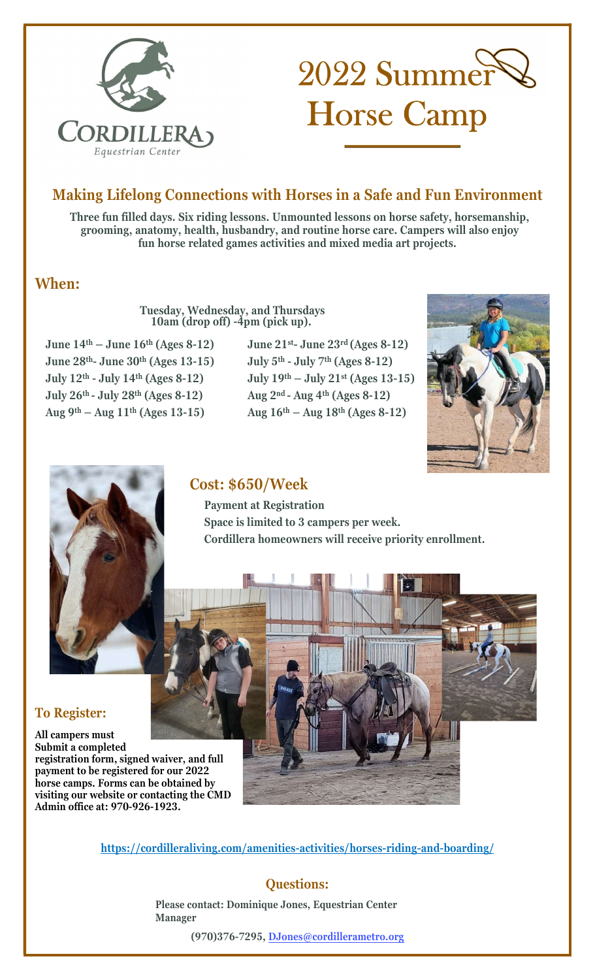

# 2022 Summer Horse Camp

# Making Lifelong Connections with Horses in a Safe and Fun Environment

Three fun filled days. Six riding lessons. Unmounted lessons on horse safety, horsemanship, grooming, anatomy, health, husbandry, and routine horse care. Campers will also enjoy fun horse related games activities and mixed media art projects.

# When:

Tuesday, Wednesday, and Thursdays 10am (drop off) -4pm (pick up).

June  $14<sup>th</sup> -$  June  $16<sup>th</sup>$  (Ages 8-12) June 21<sup>st</sup>- June 23<sup>rd</sup> (Ages 8-12) June  $28<sup>th</sup>$ - June  $30<sup>th</sup>$  (Ages 13-15) July  $5<sup>th</sup>$ - July  $7<sup>th</sup>$  (Ages 8-12) July  $26^{th}$  - July  $28^{th}$  (Ages  $8-12$ ) Aug  $2^{nd}$  - Aug  $4^{th}$  (Ages  $8-12$ ) Aug 9<sup>th</sup> – Aug 11<sup>th</sup> (Ages 13-15) Aug 16<sup>th</sup> – Aug 18<sup>th</sup> (Ages 8-12)

July 12<sup>th</sup> - July 14<sup>th</sup> (Ages 8-12) July 19<sup>th</sup> – July 21<sup>st</sup> (Ages 13-15)





# Cost: \$650/Week

 Payment at Registration Space is limited to 3 campers per week. Cordillera homeowners will receive priority enrollment.



#### To Register:

All campers must Submit a completed registration form, signed waiver, and full payment to be registered for our 2022 horse camps. Forms can be obtained by visiting our website or contacting the CMD Admin office at: 970-926-1923.

https://cordilleraliving.com/amenities-activities/horses-riding-and-boarding/

## Questions:

Please contact: Dominique Jones, Equestrian Center Manager

(970)376-7295, [DJones@cordillerametro.org](mailto:djones@cordillerametro.org)